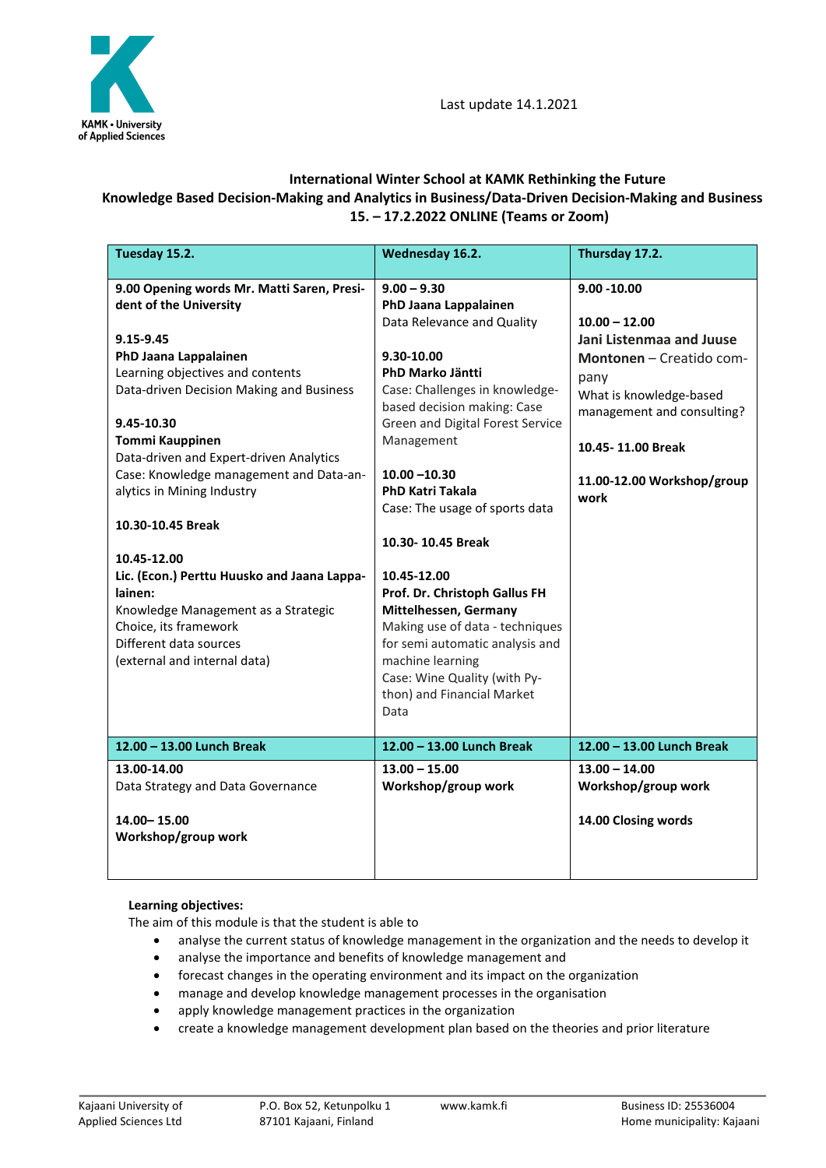

## **International Winter School at KAMK Rethinking the Future Knowledge Based Decision-Making and Analytics in Business/Data-Driven Decision-Making and Business 15. – 17.2.2022 ONLINE (Teams or Zoom)**

| Tuesday 15.2.                                                                                                                                                                                                                                                                 | Wednesday 16.2.                                                                                                                                                                                                                                                    | Thursday 17.2.                                                                                                                                                                  |
|-------------------------------------------------------------------------------------------------------------------------------------------------------------------------------------------------------------------------------------------------------------------------------|--------------------------------------------------------------------------------------------------------------------------------------------------------------------------------------------------------------------------------------------------------------------|---------------------------------------------------------------------------------------------------------------------------------------------------------------------------------|
| 9.00 Opening words Mr. Matti Saren, Presi-<br>dent of the University<br>9.15-9.45<br>PhD Jaana Lappalainen<br>Learning objectives and contents<br>Data-driven Decision Making and Business<br>9.45-10.30<br><b>Tommi Kauppinen</b><br>Data-driven and Expert-driven Analytics | $9.00 - 9.30$<br>PhD Jaana Lappalainen<br>Data Relevance and Quality<br>9.30-10.00<br>PhD Marko Jäntti<br>Case: Challenges in knowledge-<br>based decision making: Case<br>Green and Digital Forest Service<br>Management                                          | $9.00 - 10.00$<br>$10.00 - 12.00$<br>Jani Listenmaa and Juuse<br>Montonen - Creatido com-<br>pany<br>What is knowledge-based<br>management and consulting?<br>10.45-11.00 Break |
| Case: Knowledge management and Data-an-<br>alytics in Mining Industry<br>10.30-10.45 Break                                                                                                                                                                                    | $10.00 - 10.30$<br><b>PhD Katri Takala</b><br>Case: The usage of sports data                                                                                                                                                                                       | 11.00-12.00 Workshop/group<br>work                                                                                                                                              |
|                                                                                                                                                                                                                                                                               | 10.30-10.45 Break                                                                                                                                                                                                                                                  |                                                                                                                                                                                 |
| 10.45-12.00                                                                                                                                                                                                                                                                   |                                                                                                                                                                                                                                                                    |                                                                                                                                                                                 |
| Lic. (Econ.) Perttu Huusko and Jaana Lappa-<br>lainen:<br>Knowledge Management as a Strategic<br>Choice, its framework<br>Different data sources<br>(external and internal data)<br>12.00 - 13.00 Lunch Break                                                                 | 10.45-12.00<br>Prof. Dr. Christoph Gallus FH<br>Mittelhessen, Germany<br>Making use of data - techniques<br>for semi automatic analysis and<br>machine learning<br>Case: Wine Quality (with Py-<br>thon) and Financial Market<br>Data<br>12.00 - 13.00 Lunch Break | 12.00 - 13.00 Lunch Break                                                                                                                                                       |
|                                                                                                                                                                                                                                                                               |                                                                                                                                                                                                                                                                    |                                                                                                                                                                                 |
| 13.00-14.00<br>Data Strategy and Data Governance<br>14.00 - 15.00<br>Workshop/group work                                                                                                                                                                                      | $13.00 - 15.00$<br>Workshop/group work                                                                                                                                                                                                                             | $13.00 - 14.00$<br>Workshop/group work<br>14.00 Closing words                                                                                                                   |

## **Learning objectives:**

The aim of this module is that the student is able to

- analyse the current status of knowledge management in the organization and the needs to develop it
- analyse the importance and benefits of knowledge management and
- forecast changes in the operating environment and its impact on the organization
- manage and develop knowledge management processes in the organisation
- apply knowledge management practices in the organization
- create a knowledge management development plan based on the theories and prior literature